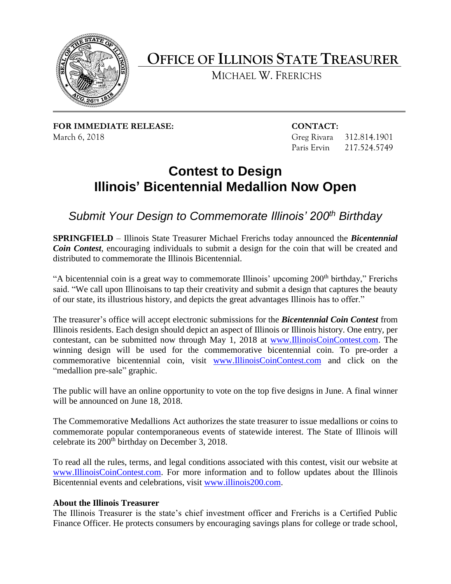

## **OFFICE OF ILLINOIS STATE TREASURER**

MICHAEL W. FRERICHS

**FOR IMMEDIATE RELEASE: CONTACT:**  March 6, 2018 **Greg Rivara** 312.814.1901

Paris Ervin 217.524.5749

## **Contest to Design Illinois' Bicentennial Medallion Now Open**

*Submit Your Design to Commemorate Illinois' 200th Birthday* 

 *Coin Contest*, encouraging individuals to submit a design for the coin that will be created and **SPRINGFIELD** – Illinois State Treasurer Michael Frerichs today announced the *Bicentennial*  distributed to commemorate the Illinois Bicentennial.

"A bicentennial coin is a great way to commemorate Illinois' upcoming 200<sup>th</sup> birthday," Frerichs said. "We call upon Illinoisans to tap their creativity and submit a design that captures the beauty of our state, its illustrious history, and depicts the great advantages Illinois has to offer."

The treasurer's office will accept electronic submissions for the *Bicentennial Coin Contest* from Illinois residents. Each design should depict an aspect of Illinois or Illinois history. One entry, per contestant, can be submitted now through May 1, 2018 at [www.IllinoisCoinContest.com.](http://www.illinoiscoincontest.com/) The winning design will be used for the commemorative bicentennial coin. To pre-order a commemorative bicentennial coin, visit [www.IllinoisCoinContest.com](http://www.illinoiscoincontest.com/) and click on the "medallion pre-sale" graphic.

 The public will have an online opportunity to vote on the top five designs in June. A final winner will be announced on June 18, 2018.

 commemorate popular contemporaneous events of statewide interest. The State of Illinois will The Commemorative Medallions Act authorizes the state treasurer to issue medallions or coins to celebrate its 200<sup>th</sup> birthday on December 3, 2018.

 To read all the rules, terms, and legal conditions associated with this contest, visit our website at [www.IllinoisCoinContest.com.](http://www.illinoiscoincontest.com/) For more information and to follow updates about the Illinois Bicentennial events and celebrations, visit [www.illinois200.com.](http://www.illinois200.com/)

## **About the Illinois Treasurer**

The Illinois Treasurer is the state's chief investment officer and Frerichs is a Certified Public Finance Officer. He protects consumers by encouraging savings plans for college or trade school,